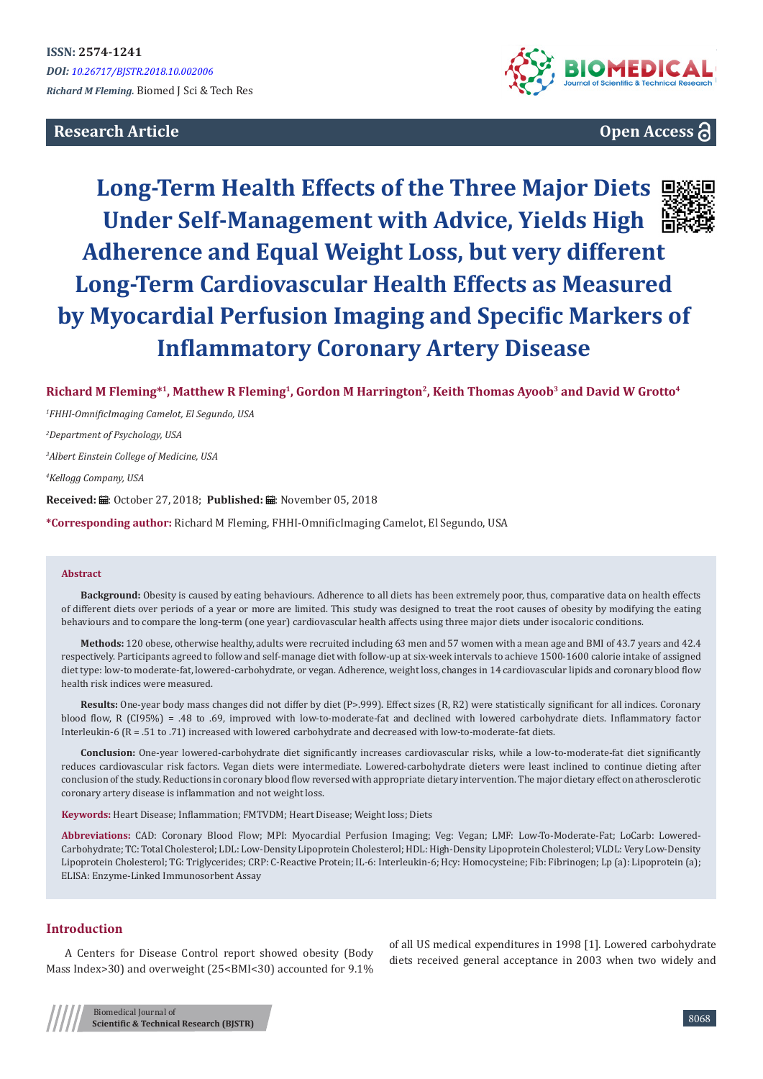# **Research Article**



# **Open Access**

# **Long-Term Health Effects of the Three Major Diets Under Self-Management with Advice, Yields High Adherence and Equal Weight Loss, but very different Long-Term Cardiovascular Health Effects as Measured by Myocardial Perfusion Imaging and Specific Markers of Inflammatory Coronary Artery Disease**



*1 FHHI-OmnificImaging Camelot, El Segundo, USA*

*2 Department of Psychology, USA*

*3 Albert Einstein College of Medicine, USA*

*4 Kellogg Company, USA*

Received: *a*: October 27, 2018; Published: a: November 05, 2018

**\*Corresponding author:** Richard M Fleming, FHHI-OmnificImaging Camelot, El Segundo, USA

#### **Abstract**

**Background:** Obesity is caused by eating behaviours. Adherence to all diets has been extremely poor, thus, comparative data on health effects of different diets over periods of a year or more are limited. This study was designed to treat the root causes of obesity by modifying the eating behaviours and to compare the long-term (one year) cardiovascular health affects using three major diets under isocaloric conditions.

**Methods:** 120 obese, otherwise healthy, adults were recruited including 63 men and 57 women with a mean age and BMI of 43.7 years and 42.4 respectively. Participants agreed to follow and self-manage diet with follow-up at six-week intervals to achieve 1500-1600 calorie intake of assigned diet type: low-to moderate-fat, lowered-carbohydrate, or vegan. Adherence, weight loss, changes in 14 cardiovascular lipids and coronary blood flow health risk indices were measured.

**Results:** One-year body mass changes did not differ by diet (P>.999). Effect sizes (R, R2) were statistically significant for all indices. Coronary blood flow, R (CI95%) = .48 to .69, improved with low-to-moderate-fat and declined with lowered carbohydrate diets. Inflammatory factor Interleukin-6 (R = .51 to .71) increased with lowered carbohydrate and decreased with low-to-moderate-fat diets.

**Conclusion:** One-year lowered-carbohydrate diet significantly increases cardiovascular risks, while a low-to-moderate-fat diet significantly reduces cardiovascular risk factors. Vegan diets were intermediate. Lowered-carbohydrate dieters were least inclined to continue dieting after conclusion of the study. Reductions in coronary blood flow reversed with appropriate dietary intervention. The major dietary effect on atherosclerotic coronary artery disease is inflammation and not weight loss.

**Keywords:** Heart Disease; Inflammation; FMTVDM; Heart Disease; Weight loss; Diets

**Abbreviations:** CAD: Coronary Blood Flow; MPI: Myocardial Perfusion Imaging; Veg: Vegan; LMF: Low-To-Moderate-Fat; LoCarb: Lowered-Carbohydrate; TC: Total Cholesterol; LDL: Low-Density Lipoprotein Cholesterol; HDL: High-Density Lipoprotein Cholesterol; VLDL: Very Low-Density Lipoprotein Cholesterol; TG: Triglycerides; CRP: C-Reactive Protein; IL-6: Interleukin-6; Hcy: Homocysteine; Fib: Fibrinogen; Lp (a): Lipoprotein (a); ELISA: Enzyme-Linked Immunosorbent Assay

## **Introduction**

A Centers for Disease Control report showed obesity (Body Mass Index>30) and overweight (25<BMI<30) accounted for 9.1%

of all US medical expenditures in 1998 [1]. Lowered carbohydrate diets received general acceptance in 2003 when two widely and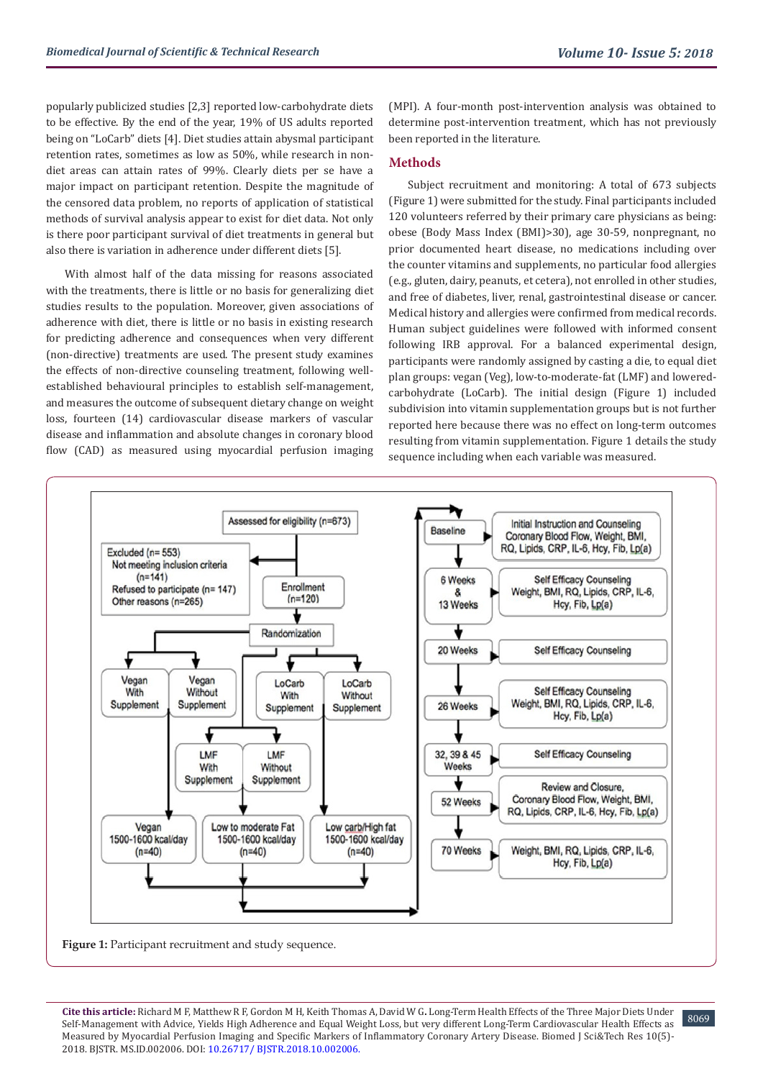popularly publicized studies [2,3] reported low-carbohydrate diets to be effective. By the end of the year, 19% of US adults reported being on "LoCarb" diets [4]. Diet studies attain abysmal participant retention rates, sometimes as low as 50%, while research in nondiet areas can attain rates of 99%. Clearly diets per se have a major impact on participant retention. Despite the magnitude of the censored data problem, no reports of application of statistical methods of survival analysis appear to exist for diet data. Not only is there poor participant survival of diet treatments in general but also there is variation in adherence under different diets [5].

With almost half of the data missing for reasons associated with the treatments, there is little or no basis for generalizing diet studies results to the population. Moreover, given associations of adherence with diet, there is little or no basis in existing research for predicting adherence and consequences when very different (non-directive) treatments are used. The present study examines the effects of non-directive counseling treatment, following wellestablished behavioural principles to establish self-management, and measures the outcome of subsequent dietary change on weight loss, fourteen (14) cardiovascular disease markers of vascular disease and inflammation and absolute changes in coronary blood flow (CAD) as measured using myocardial perfusion imaging (MPI). A four-month post-intervention analysis was obtained to determine post-intervention treatment, which has not previously been reported in the literature.

# **Methods**

Subject recruitment and monitoring: A total of 673 subjects (Figure 1) were submitted for the study. Final participants included 120 volunteers referred by their primary care physicians as being: obese (Body Mass Index (BMI)>30), age 30-59, nonpregnant, no prior documented heart disease, no medications including over the counter vitamins and supplements, no particular food allergies (e.g., gluten, dairy, peanuts, et cetera), not enrolled in other studies, and free of diabetes, liver, renal, gastrointestinal disease or cancer. Medical history and allergies were confirmed from medical records. Human subject guidelines were followed with informed consent following IRB approval. For a balanced experimental design, participants were randomly assigned by casting a die, to equal diet plan groups: vegan (Veg), low-to-moderate-fat (LMF) and loweredcarbohydrate (LoCarb). The initial design (Figure 1) included subdivision into vitamin supplementation groups but is not further reported here because there was no effect on long-term outcomes resulting from vitamin supplementation. Figure 1 details the study sequence including when each variable was measured.



Figure 1: Participant recruitment and study sequence.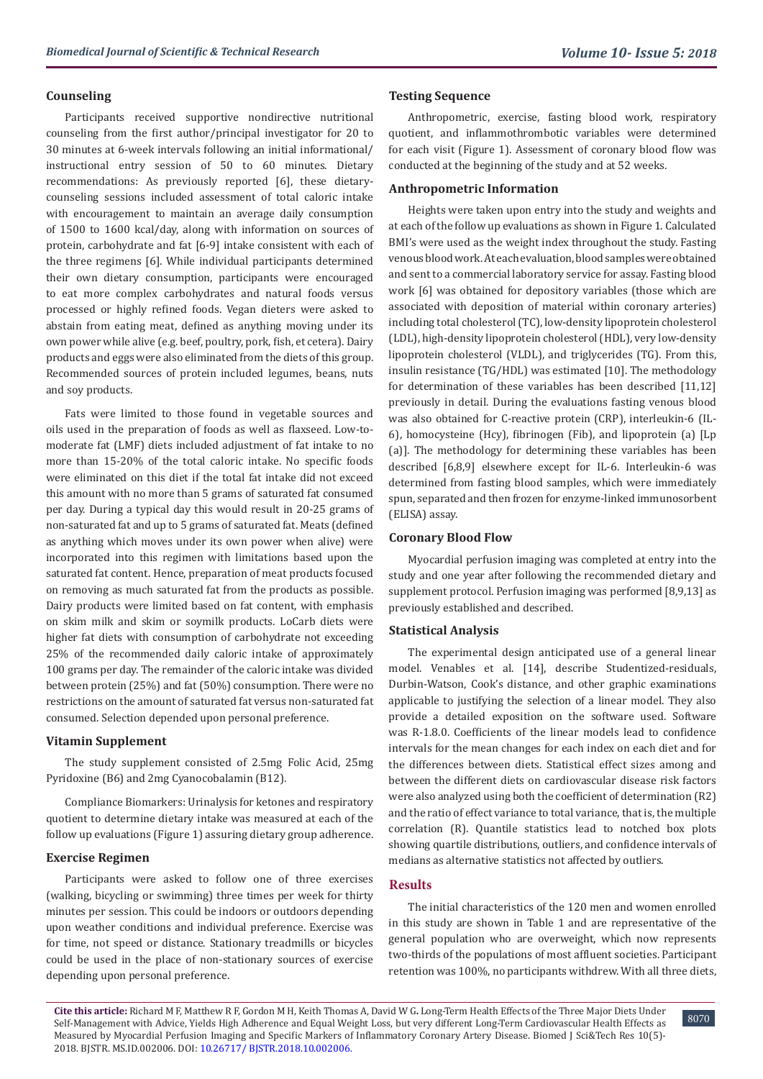### **Counseling**

Participants received supportive nondirective nutritional counseling from the first author/principal investigator for 20 to 30 minutes at 6-week intervals following an initial informational/ instructional entry session of 50 to 60 minutes. Dietary recommendations: As previously reported [6], these dietarycounseling sessions included assessment of total caloric intake with encouragement to maintain an average daily consumption of 1500 to 1600 kcal/day, along with information on sources of protein, carbohydrate and fat [6-9] intake consistent with each of the three regimens [6]. While individual participants determined their own dietary consumption, participants were encouraged to eat more complex carbohydrates and natural foods versus processed or highly refined foods. Vegan dieters were asked to abstain from eating meat, defined as anything moving under its own power while alive (e.g. beef, poultry, pork, fish, et cetera). Dairy products and eggs were also eliminated from the diets of this group. Recommended sources of protein included legumes, beans, nuts and soy products.

Fats were limited to those found in vegetable sources and oils used in the preparation of foods as well as flaxseed. Low-tomoderate fat (LMF) diets included adjustment of fat intake to no more than 15-20% of the total caloric intake. No specific foods were eliminated on this diet if the total fat intake did not exceed this amount with no more than 5 grams of saturated fat consumed per day. During a typical day this would result in 20-25 grams of non-saturated fat and up to 5 grams of saturated fat. Meats (defined as anything which moves under its own power when alive) were incorporated into this regimen with limitations based upon the saturated fat content. Hence, preparation of meat products focused on removing as much saturated fat from the products as possible. Dairy products were limited based on fat content, with emphasis on skim milk and skim or soymilk products. LoCarb diets were higher fat diets with consumption of carbohydrate not exceeding 25% of the recommended daily caloric intake of approximately 100 grams per day. The remainder of the caloric intake was divided between protein (25%) and fat (50%) consumption. There were no restrictions on the amount of saturated fat versus non-saturated fat consumed. Selection depended upon personal preference.

#### **Vitamin Supplement**

The study supplement consisted of 2.5mg Folic Acid, 25mg Pyridoxine (B6) and 2mg Cyanocobalamin (B12).

Compliance Biomarkers: Urinalysis for ketones and respiratory quotient to determine dietary intake was measured at each of the follow up evaluations (Figure 1) assuring dietary group adherence.

#### **Exercise Regimen**

Participants were asked to follow one of three exercises (walking, bicycling or swimming) three times per week for thirty minutes per session. This could be indoors or outdoors depending upon weather conditions and individual preference. Exercise was for time, not speed or distance. Stationary treadmills or bicycles could be used in the place of non-stationary sources of exercise depending upon personal preference.

#### **Testing Sequence**

Anthropometric, exercise, fasting blood work, respiratory quotient, and inflammothrombotic variables were determined for each visit (Figure 1). Assessment of coronary blood flow was conducted at the beginning of the study and at 52 weeks.

#### **Anthropometric Information**

Heights were taken upon entry into the study and weights and at each of the follow up evaluations as shown in Figure 1. Calculated BMI's were used as the weight index throughout the study. Fasting venous blood work. At each evaluation, blood samples were obtained and sent to a commercial laboratory service for assay. Fasting blood work [6] was obtained for depository variables (those which are associated with deposition of material within coronary arteries) including total cholesterol (TC), low-density lipoprotein cholesterol (LDL), high-density lipoprotein cholesterol (HDL), very low-density lipoprotein cholesterol (VLDL), and triglycerides (TG). From this, insulin resistance (TG/HDL) was estimated [10]. The methodology for determination of these variables has been described [11,12] previously in detail. During the evaluations fasting venous blood was also obtained for C-reactive protein (CRP), interleukin-6 (IL-6), homocysteine (Hcy), fibrinogen (Fib), and lipoprotein (a) [Lp (a)]. The methodology for determining these variables has been described [6,8,9] elsewhere except for IL-6. Interleukin-6 was determined from fasting blood samples, which were immediately spun, separated and then frozen for enzyme-linked immunosorbent (ELISA) assay.

#### **Coronary Blood Flow**

Myocardial perfusion imaging was completed at entry into the study and one year after following the recommended dietary and supplement protocol. Perfusion imaging was performed [8,9,13] as previously established and described.

#### **Statistical Analysis**

The experimental design anticipated use of a general linear model. Venables et al. [14], describe Studentized-residuals, Durbin-Watson, Cook's distance, and other graphic examinations applicable to justifying the selection of a linear model. They also provide a detailed exposition on the software used. Software was R-1.8.0. Coefficients of the linear models lead to confidence intervals for the mean changes for each index on each diet and for the differences between diets. Statistical effect sizes among and between the different diets on cardiovascular disease risk factors were also analyzed using both the coefficient of determination (R2) and the ratio of effect variance to total variance, that is, the multiple correlation (R). Quantile statistics lead to notched box plots showing quartile distributions, outliers, and confidence intervals of medians as alternative statistics not affected by outliers.

#### **Results**

The initial characteristics of the 120 men and women enrolled in this study are shown in Table 1 and are representative of the general population who are overweight, which now represents two-thirds of the populations of most affluent societies. Participant retention was 100%, no participants withdrew. With all three diets,

**Cite this article:** Richard M F, Matthew R F, Gordon M H, Keith Thomas A, David W G**.** Long-Term Health Effects of the Three Major Diets Under Self-Management with Advice, Yields High Adherence and Equal Weight Loss, but very different Long-Term Cardiovascular Health Effects as Measured by Myocardial Perfusi[on Imaging and Specific Markers o](http://dx.doi.org/10.26717/BJSTR.2018.10.002006)[f](http://dx.doi.org/10.26717/BJSTR.2018.10.001999) Inflammatory Coronary Artery Disease. Biomed J Sci&Tech Res 10(5)- 2018. BJSTR. MS.ID.002006. DOI: 10.26717/ BJSTR.2018.10.002006.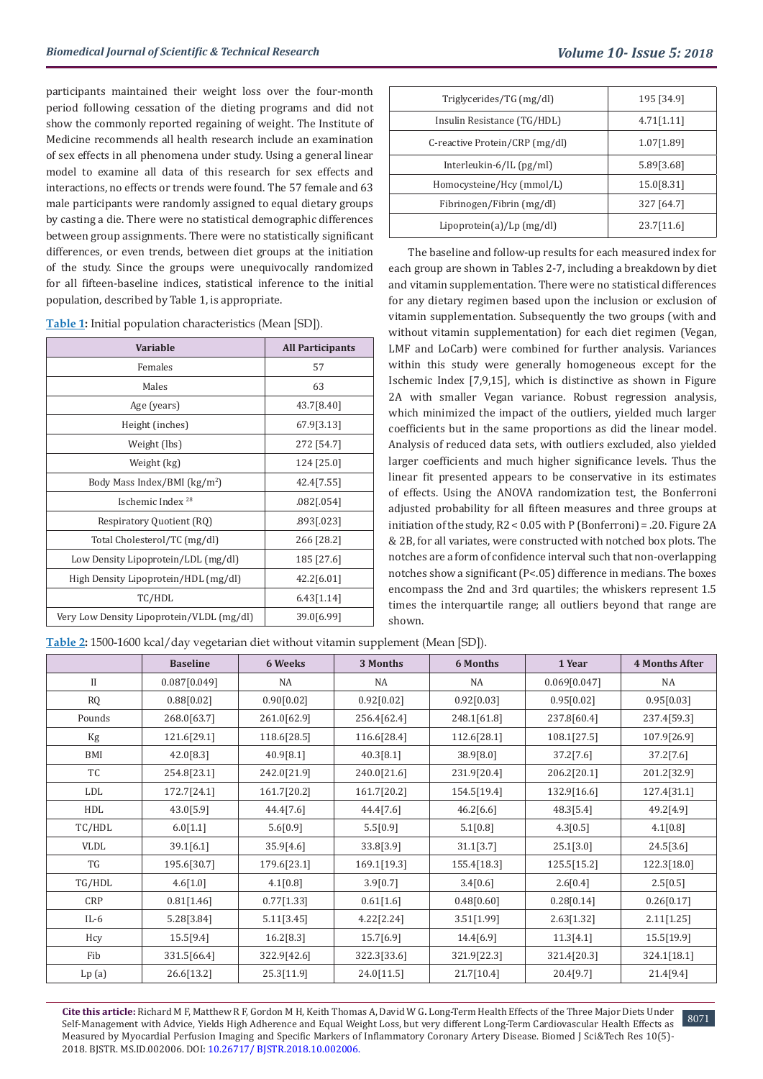participants maintained their weight loss over the four-month period following cessation of the dieting programs and did not show the commonly reported regaining of weight. The Institute of Medicine recommends all health research include an examination of sex effects in all phenomena under study. Using a general linear model to examine all data of this research for sex effects and interactions, no effects or trends were found. The 57 female and 63 male participants were randomly assigned to equal dietary groups by casting a die. There were no statistical demographic differences between group assignments. There were no statistically significant differences, or even trends, between diet groups at the initiation of the study. Since the groups were unequivocally randomized for all fifteen-baseline indices, statistical inference to the initial population, described by Table 1, is appropriate.

| Table 1: Initial population characteristics (Mean [SD]). |  |  |  |  |  |  |  |
|----------------------------------------------------------|--|--|--|--|--|--|--|
|----------------------------------------------------------|--|--|--|--|--|--|--|

| <b>Variable</b>                           | <b>All Participants</b> |
|-------------------------------------------|-------------------------|
| Females                                   | 57                      |
| Males                                     | 63                      |
| Age (years)                               | 43.7[8.40]              |
| Height (inches)                           | 67.9[3.13]              |
| Weight (lbs)                              | 272 [54.7]              |
| Weight (kg)                               | 124 [25.0]              |
| Body Mass Index/BMI (kg/m <sup>2</sup> )  | 42.4 [7.55]             |
| Ischemic Index <sup>28</sup>              | .082[.054]              |
| Respiratory Quotient (RQ)                 | .893[.023]              |
| Total Cholesterol/TC (mg/dl)              | 266 [28.2]              |
| Low Density Lipoprotein/LDL (mg/dl)       | 185 [27.6]              |
| High Density Lipoprotein/HDL (mg/dl)      | 42.2[6.01]              |
| TC/HDL                                    | 6.43[1.14]              |
| Very Low Density Lipoprotein/VLDL (mg/dl) | 39.0[6.99]              |

| Triglycerides/TG (mg/dl)       | 195 [34.9] |
|--------------------------------|------------|
| Insulin Resistance (TG/HDL)    | 4.71[1.11] |
| C-reactive Protein/CRP (mg/dl) | 1.07[1.89] |
| Interleukin-6/IL (pg/ml)       | 5.89[3.68] |
| Homocysteine/Hcy (mmol/L)      | 15.0[8.31] |
| Fibrinogen/Fibrin (mg/dl)      | 327 [64.7] |
| Lipoprotein(a)/Lp(mg/dl)       | 23.7[11.6] |

The baseline and follow-up results for each measured index for each group are shown in Tables 2-7, including a breakdown by diet and vitamin supplementation. There were no statistical differences for any dietary regimen based upon the inclusion or exclusion of vitamin supplementation. Subsequently the two groups (with and without vitamin supplementation) for each diet regimen (Vegan, LMF and LoCarb) were combined for further analysis. Variances within this study were generally homogeneous except for the Ischemic Index [7,9,15], which is distinctive as shown in Figure 2A with smaller Vegan variance. Robust regression analysis, which minimized the impact of the outliers, yielded much larger coefficients but in the same proportions as did the linear model. Analysis of reduced data sets, with outliers excluded, also yielded larger coefficients and much higher significance levels. Thus the linear fit presented appears to be conservative in its estimates of effects. Using the ANOVA randomization test, the Bonferroni adjusted probability for all fifteen measures and three groups at initiation of the study, R2 < 0.05 with P (Bonferroni) = .20. Figure 2A & 2B, for all variates, were constructed with notched box plots. The notches are a form of confidence interval such that non-overlapping notches show a significant (P<.05) difference in medians. The boxes encompass the 2nd and 3rd quartiles; the whiskers represent 1.5 times the interquartile range; all outliers beyond that range are shown.

**Table 2:** 1500-1600 kcal/day vegetarian diet without vitamin supplement (Mean [SD]).

|          | <b>Baseline</b> | 6 Weeks     | 3 Months    | 6 Months    | 1 Year       | <b>4 Months After</b> |
|----------|-----------------|-------------|-------------|-------------|--------------|-----------------------|
| $\rm II$ | 0.087[0.049]    | NA          | NA          | NA          | 0.069[0.047] | NA                    |
| RQ       | 0.88[0.02]      | 0.90[0.02]  | 0.92[0.02]  | 0.92[0.03]  | 0.95[0.02]   | 0.95[0.03]            |
| Pounds   | 268.0[63.7]     | 261.0[62.9] | 256.4[62.4] | 248.1[61.8] | 237.8[60.4]  | 237.4[59.3]           |
| Kg       | 121.6[29.1]     | 118.6[28.5] | 116.6[28.4] | 112.6[28.1] | 108.1[27.5]  | 107.9[26.9]           |
| BMI      | 42.0[8.3]       | 40.9[8.1]   | 40.3[8.1]   | 38.9[8.0]   | 37.2[7.6]    | 37.2[7.6]             |
| TC       | 254.8[23.1]     | 242.0[21.9] | 240.0[21.6] | 231.9[20.4] | 206.2[20.1]  | 201.2[32.9]           |
| LDL      | 172.7[24.1]     | 161.7[20.2] | 161.7[20.2] | 154.5[19.4] | 132.9[16.6]  | 127.4[31.1]           |
| HDL      | 43.0[5.9]       | 44.4[7.6]   | 44.4 [7.6]  | 46.2[6.6]   | 48.3[5.4]    | 49.2[4.9]             |
| TC/HDL   | 6.0[1.1]        | 5.6[0.9]    | 5.5[0.9]    | 5.1[0.8]    | 4.3[0.5]     | 4.1[0.8]              |
| VLDL     | 39.1[6.1]       | 35.9[4.6]   | 33.8[3.9]   | 31.1[3.7]   | 25.1[3.0]    | 24.5[3.6]             |
| TG       | 195.6[30.7]     | 179.6[23.1] | 169.1[19.3] | 155.4[18.3] | 125.5[15.2]  | 122.3[18.0]           |
| TG/HDL   | 4.6[1.0]        | 4.1[0.8]    | 3.9[0.7]    | 3.4[0.6]    | 2.6[0.4]     | 2.5[0.5]              |
| CRP      | 0.81[1.46]      | 0.77[1.33]  | 0.61[1.6]   | 0.48[0.60]  | 0.28[0.14]   | 0.26[0.17]            |
| $IL-6$   | 5.28[3.84]      | 5.11[3.45]  | 4.22[2.24]  | 3.51[1.99]  | 2.63[1.32]   | 2.11[1.25]            |
| Hcy      | 15.5[9.4]       | 16.2[8.3]   | 15.7[6.9]   | 14.4[6.9]   | 11.3[4.1]    | 15.5[19.9]            |
| Fib      | 331.5[66.4]     | 322.9[42.6] | 322.3[33.6] | 321.9[22.3] | 321.4[20.3]  | 324.1[18.1]           |
| Lp(a)    | 26.6[13.2]      | 25.3[11.9]  | 24.0[11.5]  | 21.7[10.4]  | 20.4[9.7]    | 21.4[9.4]             |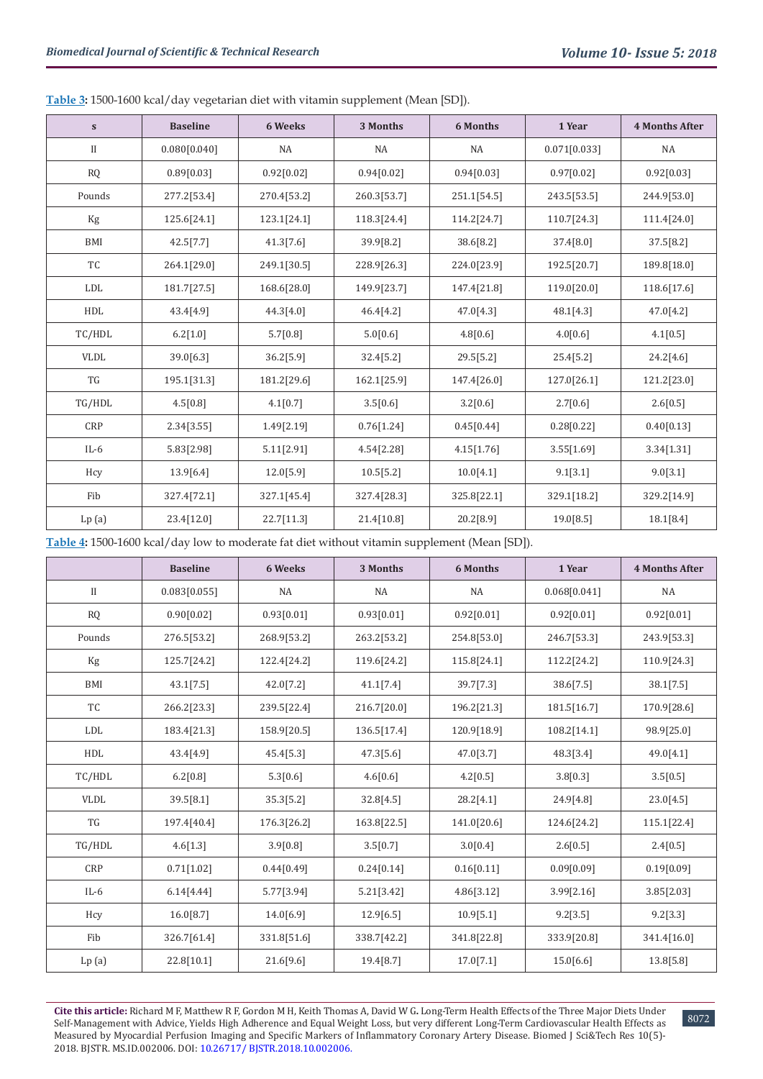**Table 3:** 1500-1600 kcal/day vegetarian diet with vitamin supplement (Mean [SD]).

| $\mathbf{s}$ | <b>Baseline</b> | 6 Weeks     | 3 Months    | 6 Months     | 1 Year       | <b>4 Months After</b> |
|--------------|-----------------|-------------|-------------|--------------|--------------|-----------------------|
| $\mathbf{I}$ | 0.080[0.040]    | NA          | NA          | NA           | 0.071[0.033] | <b>NA</b>             |
| ${\sf RQ}$   | 0.89[0.03]      | 0.92[0.02]  | 0.94[0.02]  | 0.94[0.03]   | 0.97[0.02]   | 0.92[0.03]            |
| Pounds       | 277.2[53.4]     | 270.4[53.2] | 260.3[53.7] | 251.1[54.5]  | 243.5[53.5]  | 244.9[53.0]           |
| Kg           | 125.6[24.1]     | 123.1[24.1] | 118.3[24.4] | 114.2[24.7]  | 110.7[24.3]  | 111.4[24.0]           |
| BMI          | 42.5[7.7]       | 41.3[7.6]   | 39.9[8.2]   | 38.6[8.2]    | 37.4[8.0]    | 37.5[8.2]             |
| TC           | 264.1[29.0]     | 249.1[30.5] | 228.9[26.3] | 224.0[23.9]  | 192.5[20.7]  | 189.8[18.0]           |
| LDL          | 181.7[27.5]     | 168.6[28.0] | 149.9[23.7] | 147.4 [21.8] | 119.0[20.0]  | 118.6[17.6]           |
| HDL          | 43.4[4.9]       | 44.3[4.0]   | 46.4[4.2]   | 47.0[4.3]    | 48.1[4.3]    | 47.0[4.2]             |
| TC/HDL       | 6.2[1.0]        | 5.7[0.8]    | 5.0[0.6]    | 4.8[0.6]     | 4.0[0.6]     | 4.1[0.5]              |
| <b>VLDL</b>  | 39.0[6.3]       | 36.2[5.9]   | 32.4[5.2]   | 29.5[5.2]    | 25.4[5.2]    | 24.2[4.6]             |
| TG           | 195.1[31.3]     | 181.2[29.6] | 162.1[25.9] | 147.4 [26.0] | 127.0[26.1]  | 121.2[23.0]           |
| TG/HDL       | 4.5[0.8]        | 4.1[0.7]    | 3.5[0.6]    | 3.2[0.6]     | 2.7[0.6]     | 2.6[0.5]              |
| <b>CRP</b>   | 2.34[3.55]      | 1.49[2.19]  | 0.76[1.24]  | 0.45[0.44]   | 0.28[0.22]   | 0.40[0.13]            |
| $IL-6$       | 5.83[2.98]      | 5.11[2.91]  | 4.54[2.28]  | 4.15[1.76]   | 3.55[1.69]   | 3.34[1.31]            |
| Hcy          | 13.9[6.4]       | 12.0[5.9]   | 10.5[5.2]   | 10.0[4.1]    | 9.1[3.1]     | 9.0[3.1]              |
| Fib          | 327.4[72.1]     | 327.1[45.4] | 327.4[28.3] | 325.8[22.1]  | 329.1[18.2]  | 329.2[14.9]           |
| Lp(a)        | 23.4[12.0]      | 22.7[11.3]  | 21.4[10.8]  | 20.2[8.9]    | 19.0[8.5]    | 18.1[8.4]             |

**Table 4:** 1500-1600 kcal/day low to moderate fat diet without vitamin supplement (Mean [SD]).

|              | <b>Baseline</b> | 6 Weeks     | 3 Months    | 6 Months    | 1 Year       | <b>4 Months After</b> |
|--------------|-----------------|-------------|-------------|-------------|--------------|-----------------------|
| $\mathbf{I}$ | 0.083[0.055]    | <b>NA</b>   | <b>NA</b>   | NA          | 0.068[0.041] | <b>NA</b>             |
| ${\rm RQ}$   | 0.90[0.02]      | 0.93[0.01]  | 0.93[0.01]  | 0.92[0.01]  | 0.92[0.01]   | 0.92[0.01]            |
| Pounds       | 276.5[53.2]     | 268.9[53.2] | 263.2[53.2] | 254.8[53.0] | 246.7[53.3]  | 243.9[53.3]           |
| Kg           | 125.7[24.2]     | 122.4[24.2] | 119.6[24.2] | 115.8[24.1] | 112.2[24.2]  | 110.9[24.3]           |
| <b>BMI</b>   | 43.1[7.5]       | 42.0[7.2]   | 41.1[7.4]   | 39.7[7.3]   | 38.6[7.5]    | 38.1[7.5]             |
| TC           | 266.2[23.3]     | 239.5[22.4] | 216.7[20.0] | 196.2[21.3] | 181.5[16.7]  | 170.9[28.6]           |
| <b>LDL</b>   | 183.4[21.3]     | 158.9[20.5] | 136.5[17.4] | 120.9[18.9] | 108.2[14.1]  | 98.9[25.0]            |
| HDL          | 43.4[4.9]       | 45.4[5.3]   | 47.3[5.6]   | 47.0[3.7]   | 48.3[3.4]    | 49.0[4.1]             |
| TC/HDL       | 6.2[0.8]        | 5.3[0.6]    | 4.6[0.6]    | 4.2[0.5]    | 3.8[0.3]     | 3.5[0.5]              |
| <b>VLDL</b>  | 39.5[8.1]       | 35.3[5.2]   | 32.8[4.5]   | 28.2[4.1]   | 24.9[4.8]    | 23.0[4.5]             |
| TG           | 197.4[40.4]     | 176.3[26.2] | 163.8[22.5] | 141.0[20.6] | 124.6[24.2]  | 115.1[22.4]           |
| TG/HDL       | 4.6[1.3]        | 3.9[0.8]    | 3.5[0.7]    | 3.0[0.4]    | 2.6[0.5]     | 2.4[0.5]              |
| CRP          | 0.71[1.02]      | 0.44[0.49]  | 0.24[0.14]  | 0.16[0.11]  | 0.09[0.09]   | 0.19[0.09]            |
| $IL-6$       | 6.14[4.44]      | 5.77[3.94]  | 5.21[3.42]  | 4.86[3.12]  | 3.99[2.16]   | 3.85[2.03]            |
| Hcy          | 16.0[8.7]       | 14.0[6.9]   | 12.9[6.5]   | 10.9[5.1]   | 9.2[3.5]     | 9.2[3.3]              |
| Fib          | 326.7[61.4]     | 331.8[51.6] | 338.7[42.2] | 341.8[22.8] | 333.9[20.8]  | 341.4[16.0]           |
| Lp(a)        | 22.8[10.1]      | 21.6[9.6]   | 19.4[8.7]   | 17.0[7.1]   | 15.0[6.6]    | 13.8[5.8]             |

**Cite this article:** Richard M F, Matthew R F, Gordon M H, Keith Thomas A, David W G**.** Long-Term Health Effects of the Three Major Diets Under Self-Management with Advice, Yields High Adherence and Equal Weight Loss, but very different Long-Term Cardiovascular Health Effects as Measured by Myocardial Perfusi[on Imaging and Specific Markers o](http://dx.doi.org/10.26717/BJSTR.2018.10.002006)[f](http://dx.doi.org/10.26717/BJSTR.2018.10.001999) Inflammatory Coronary Artery Disease. Biomed J Sci&Tech Res 10(5)- 2018. BJSTR. MS.ID.002006. DOI: 10.26717/ BJSTR.2018.10.002006.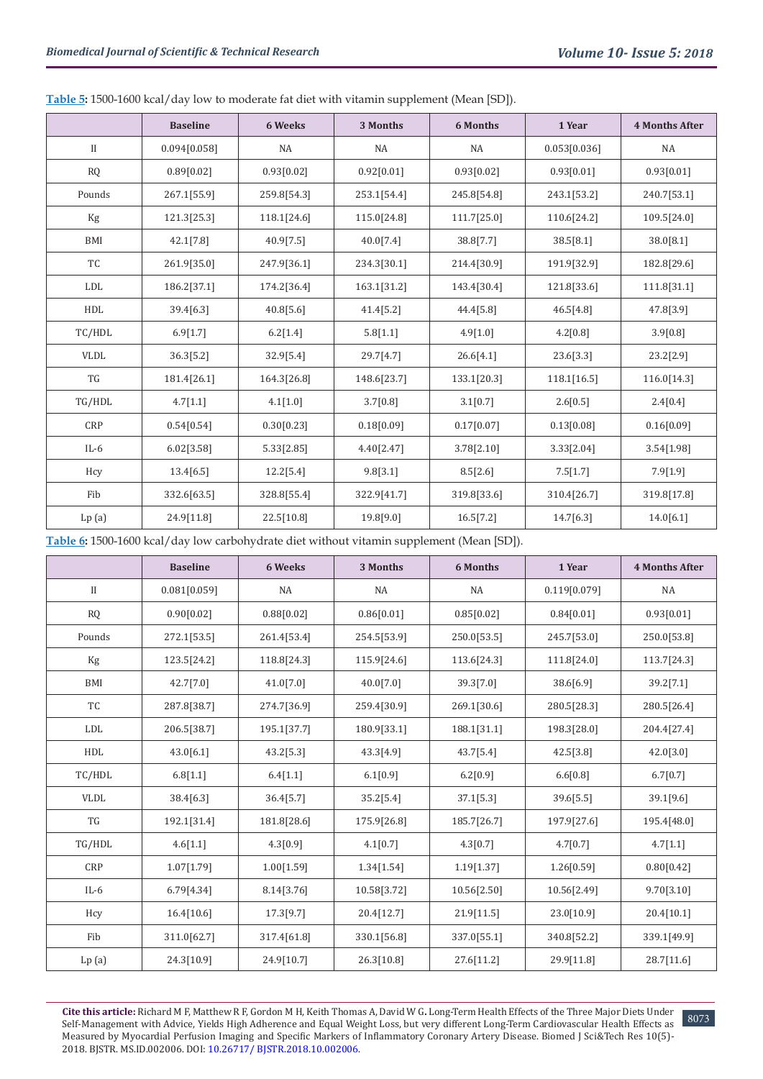|  | Table 5: 1500-1600 kcal/day low to moderate fat diet with vitamin supplement (Mean [SD]). |  |  |
|--|-------------------------------------------------------------------------------------------|--|--|
|--|-------------------------------------------------------------------------------------------|--|--|

|              | <b>Baseline</b> | 6 Weeks     | 3 Months    | <b>6 Months</b> | 1 Year       | <b>4 Months After</b> |
|--------------|-----------------|-------------|-------------|-----------------|--------------|-----------------------|
| $\mathbf{I}$ | 0.094[0.058]    | <b>NA</b>   | <b>NA</b>   | <b>NA</b>       | 0.053[0.036] | <b>NA</b>             |
| $\rm RQ$     | 0.89[0.02]      | 0.93[0.02]  | 0.92[0.01]  | 0.93[0.02]      | 0.93[0.01]   | 0.93[0.01]            |
| Pounds       | 267.1[55.9]     | 259.8[54.3] | 253.1[54.4] | 245.8[54.8]     | 243.1[53.2]  | 240.7[53.1]           |
| Kg           | 121.3[25.3]     | 118.1[24.6] | 115.0[24.8] | 111.7[25.0]     | 110.6[24.2]  | 109.5[24.0]           |
| <b>BMI</b>   | 42.1[7.8]       | 40.9[7.5]   | 40.0[7.4]   | 38.8[7.7]       | 38.5[8.1]    | 38.0[8.1]             |
| TC           | 261.9[35.0]     | 247.9[36.1] | 234.3[30.1] | 214.4[30.9]     | 191.9[32.9]  | 182.8[29.6]           |
| LDL          | 186.2[37.1]     | 174.2[36.4] | 163.1[31.2] | 143.4[30.4]     | 121.8[33.6]  | 111.8[31.1]           |
| HDL          | 39.4[6.3]       | 40.8[5.6]   | 41.4[5.2]   | 44.4 [5.8]      | 46.5[4.8]    | 47.8[3.9]             |
| TC/HDL       | 6.9[1.7]        | 6.2[1.4]    | 5.8[1.1]    | 4.9[1.0]        | 4.2[0.8]     | 3.9[0.8]              |
| <b>VLDL</b>  | 36.3[5.2]       | 32.9[5.4]   | 29.7[4.7]   | 26.6[4.1]       | 23.6[3.3]    | 23.2[2.9]             |
| TG           | 181.4[26.1]     | 164.3[26.8] | 148.6[23.7] | 133.1[20.3]     | 118.1[16.5]  | 116.0[14.3]           |
| TG/HDL       | 4.7[1.1]        | 4.1[1.0]    | 3.7[0.8]    | 3.1[0.7]        | 2.6[0.5]     | 2.4[0.4]              |
| <b>CRP</b>   | 0.54[0.54]      | 0.30[0.23]  | 0.18[0.09]  | 0.17[0.07]      | 0.13[0.08]   | 0.16[0.09]            |
| $IL-6$       | 6.02[3.58]      | 5.33[2.85]  | 4.40[2.47]  | 3.78[2.10]      | 3.33[2.04]   | 3.54[1.98]            |
| Hcy          | 13.4[6.5]       | 12.2[5.4]   | 9.8[3.1]    | 8.5[2.6]        | 7.5[1.7]     | 7.9[1.9]              |
| Fib          | 332.6[63.5]     | 328.8[55.4] | 322.9[41.7] | 319.8[33.6]     | 310.4[26.7]  | 319.8[17.8]           |
| Lp(a)        | 24.9[11.8]      | 22.5[10.8]  | 19.8[9.0]   | 16.5[7.2]       | 14.7[6.3]    | 14.0[6.1]             |

**Table 6:** 1500-1600 kcal/day low carbohydrate diet without vitamin supplement (Mean [SD]).

|              | <b>Baseline</b> | 6 Weeks     | 3 Months    | 6 Months    | 1 Year       | <b>4 Months After</b> |
|--------------|-----------------|-------------|-------------|-------------|--------------|-----------------------|
| $\mathbf{I}$ | 0.081[0.059]    | NA          | NA          | <b>NA</b>   | 0.119[0.079] | <b>NA</b>             |
| ${\sf RQ}$   | 0.90[0.02]      | 0.88[0.02]  | 0.86[0.01]  | 0.85[0.02]  | 0.84[0.01]   | 0.93[0.01]            |
| Pounds       | 272.1[53.5]     | 261.4[53.4] | 254.5[53.9] | 250.0[53.5] | 245.7[53.0]  | 250.0[53.8]           |
| Kg           | 123.5[24.2]     | 118.8[24.3] | 115.9[24.6] | 113.6[24.3] | 111.8[24.0]  | 113.7[24.3]           |
| <b>BMI</b>   | 42.7[7.0]       | 41.0[7.0]   | 40.0[7.0]   | 39.3[7.0]   | 38.6[6.9]    | 39.2[7.1]             |
| TC           | 287.8[38.7]     | 274.7[36.9] | 259.4[30.9] | 269.1[30.6] | 280.5[28.3]  | 280.5[26.4]           |
| LDL          | 206.5[38.7]     | 195.1[37.7] | 180.9[33.1] | 188.1[31.1] | 198.3[28.0]  | 204.4[27.4]           |
| HDL          | 43.0[6.1]       | 43.2[5.3]   | 43.3[4.9]   | 43.7[5.4]   | 42.5[3.8]    | 42.0[3.0]             |
| TC/HDL       | 6.8[1.1]        | 6.4[1.1]    | 6.1[0.9]    | 6.2[0.9]    | 6.6[0.8]     | 6.7[0.7]              |
| <b>VLDL</b>  | 38.4[6.3]       | 36.4[5.7]   | 35.2[5.4]   | 37.1[5.3]   | 39.6[5.5]    | 39.1[9.6]             |
| TG           | 192.1[31.4]     | 181.8[28.6] | 175.9[26.8] | 185.7[26.7] | 197.9[27.6]  | 195.4[48.0]           |
| TG/HDL       | 4.6[1.1]        | 4.3[0.9]    | 4.1[0.7]    | 4.3[0.7]    | 4.7[0.7]     | 4.7[1.1]              |
| <b>CRP</b>   | 1.07[1.79]      | 1.00[1.59]  | 1.34[1.54]  | 1.19[1.37]  | 1.26[0.59]   | 0.80[0.42]            |
| $IL-6$       | 6.79[4.34]      | 8.14[3.76]  | 10.58[3.72] | 10.56[2.50] | 10.56[2.49]  | 9.70[3.10]            |
| Hcy          | 16.4[10.6]      | 17.3[9.7]   | 20.4[12.7]  | 21.9[11.5]  | 23.0[10.9]   | 20.4[10.1]            |
| Fib          | 311.0[62.7]     | 317.4[61.8] | 330.1[56.8] | 337.0[55.1] | 340.8[52.2]  | 339.1[49.9]           |
| Lp(a)        | 24.3[10.9]      | 24.9[10.7]  | 26.3[10.8]  | 27.6[11.2]  | 29.9[11.8]   | 28.7[11.6]            |

**Cite this article:** Richard M F, Matthew R F, Gordon M H, Keith Thomas A, David W G**.** Long-Term Health Effects of the Three Major Diets Under Self-Management with Advice, Yields High Adherence and Equal Weight Loss, but very different Long-Term Cardiovascular Health Effects as Measured by Myocardial Perfusion Imaging and Specific Markers of Inflammatory Coronary Artery Disease. Biomed J Sci&Tech Res 10(5)- 2018. BJSTR. MS.ID.002006. DOI: [10.26717/ BJSTR.2018.10.002006](http://dx.doi.org/10.26717/BJSTR.2018.10.002006)[.](http://dx.doi.org/10.26717/BJSTR.2018.10.001999)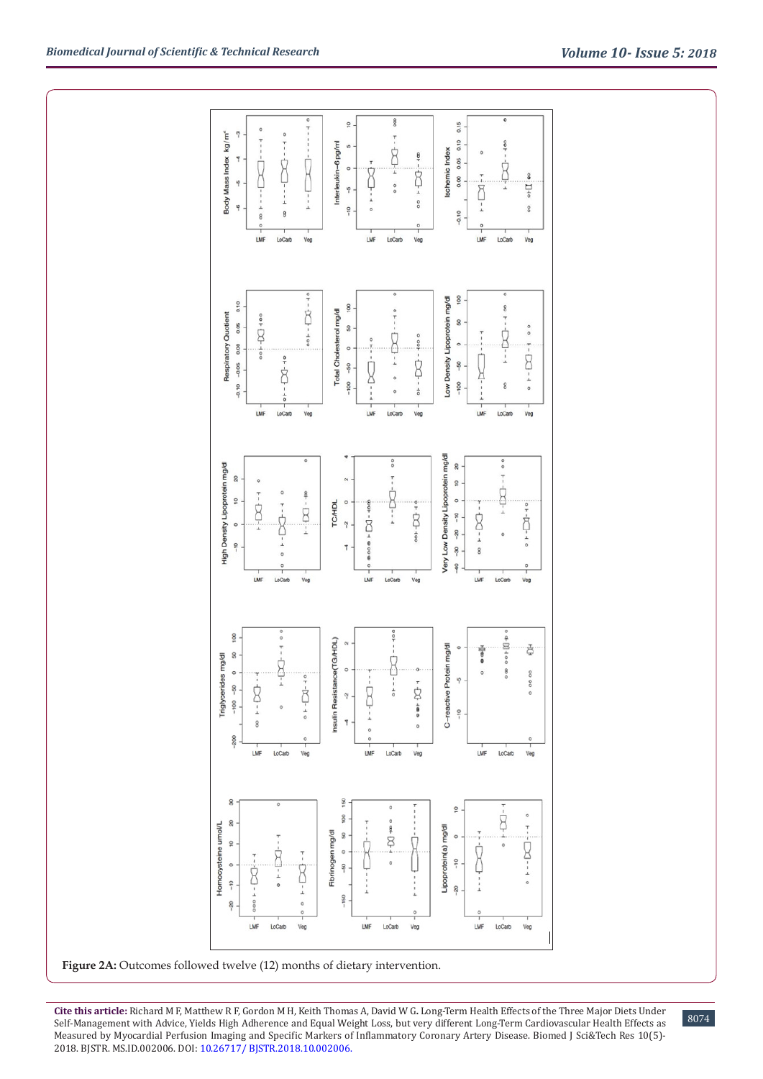



Figure 2A: Outcomes followed twelve (12) months of dietary intervention.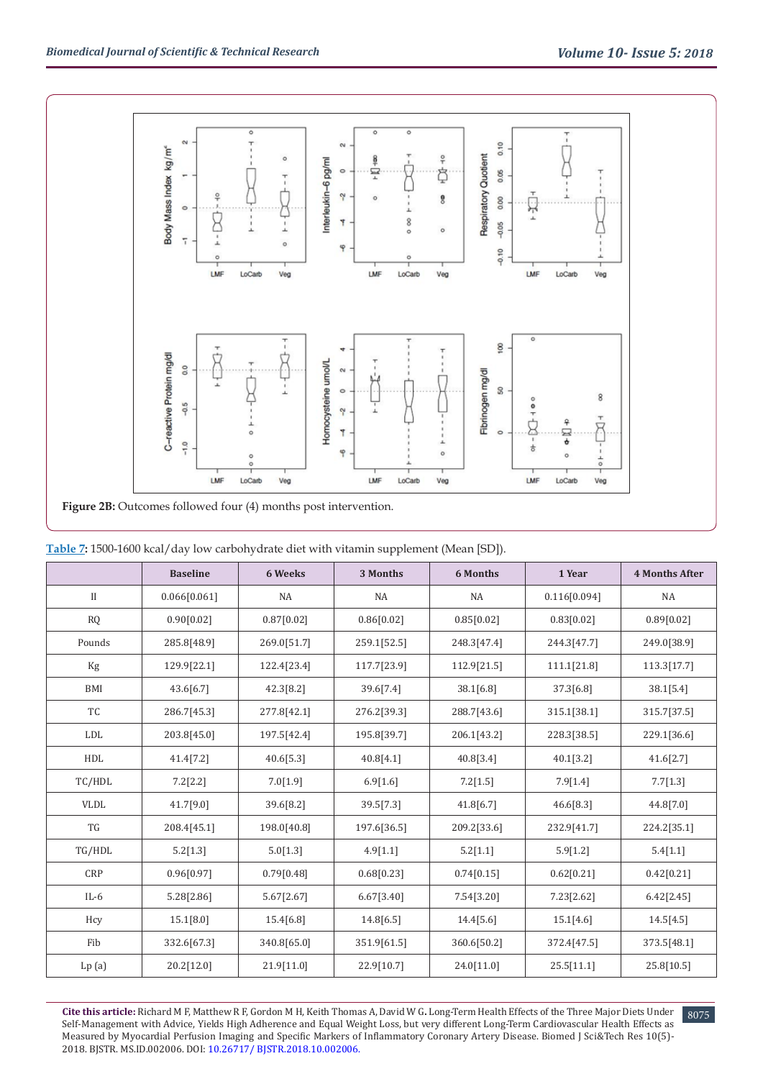

| Table 7: 1500-1600 kcal/day low carbohydrate diet with vitamin supplement (Mean [SD]). |  |  |  |
|----------------------------------------------------------------------------------------|--|--|--|

|              | <b>Baseline</b> | 6 Weeks     | 3 Months    | <b>6 Months</b> | 1 Year       | <b>4 Months After</b> |
|--------------|-----------------|-------------|-------------|-----------------|--------------|-----------------------|
| $\mathbf{I}$ | 0.066[0.061]    | NA          | NA          | NA              | 0.116[0.094] | NA                    |
| <b>RQ</b>    | 0.90[0.02]      | 0.87[0.02]  | 0.86[0.02]  | 0.85[0.02]      | 0.83[0.02]   | 0.89[0.02]            |
| Pounds       | 285.8[48.9]     | 269.0[51.7] | 259.1[52.5] | 248.3[47.4]     | 244.3[47.7]  | 249.0[38.9]           |
| Kg           | 129.9[22.1]     | 122.4[23.4] | 117.7[23.9] | 112.9[21.5]     | 111.1[21.8]  | 113.3[17.7]           |
| BMI          | 43.6[6.7]       | 42.3[8.2]   | 39.6[7.4]   | 38.1[6.8]       | 37.3[6.8]    | 38.1[5.4]             |
| TC           | 286.7[45.3]     | 277.8[42.1] | 276.2[39.3] | 288.7[43.6]     | 315.1[38.1]  | 315.7[37.5]           |
| LDL          | 203.8[45.0]     | 197.5[42.4] | 195.8[39.7] | 206.1[43.2]     | 228.3[38.5]  | 229.1[36.6]           |
| HDL          | 41.4[7.2]       | 40.6[5.3]   | 40.8[4.1]   | 40.8[3.4]       | 40.1[3.2]    | 41.6[2.7]             |
| TC/HDL       | 7.2[2.2]        | 7.0[1.9]    | 6.9[1.6]    | 7.2[1.5]        | 7.9[1.4]     | 7.7[1.3]              |
| <b>VLDL</b>  | 41.7[9.0]       | 39.6[8.2]   | 39.5[7.3]   | 41.8[6.7]       | 46.6[8.3]    | 44.8[7.0]             |
| TG           | 208.4[45.1]     | 198.0[40.8] | 197.6[36.5] | 209.2[33.6]     | 232.9[41.7]  | 224.2[35.1]           |
| TG/HDL       | 5.2[1.3]        | 5.0[1.3]    | 4.9[1.1]    | 5.2[1.1]        | 5.9[1.2]     | 5.4[1.1]              |
| CRP          | 0.96[0.97]      | 0.79[0.48]  | 0.68[0.23]  | 0.74[0.15]      | 0.62[0.21]   | 0.42[0.21]            |
| $IL-6$       | 5.28[2.86]      | 5.67[2.67]  | 6.67[3.40]  | 7.54[3.20]      | 7.23[2.62]   | 6.42[2.45]            |
| Hcy          | 15.1[8.0]       | 15.4[6.8]   | 14.8[6.5]   | 14.4[5.6]       | 15.1[4.6]    | 14.5[4.5]             |
| Fib          | 332.6[67.3]     | 340.8[65.0] | 351.9[61.5] | 360.6[50.2]     | 372.4[47.5]  | 373.5[48.1]           |
| Lp(a)        | 20.2[12.0]      | 21.9[11.0]  | 22.9[10.7]  | 24.0[11.0]      | 25.5[11.1]   | 25.8[10.5]            |

**Cite this article:** Richard M F, Matthew R F, Gordon M H, Keith Thomas A, David W G**.** Long-Term Health Effects of the Three Major Diets Under Self-Management with Advice, Yields High Adherence and Equal Weight Loss, but very different Long-Term Cardiovascular Health Effects as Measured by Myocardial Perfusion Imaging and Specific Markers of Inflammatory Coronary Artery Disease. Biomed J Sci&Tech Res 10(5)- 2018. BJSTR. MS.ID.002006. DOI: [10.26717/ BJSTR.2018.10.002006](http://dx.doi.org/10.26717/BJSTR.2018.10.002006)[.](http://dx.doi.org/10.26717/BJSTR.2018.10.001999)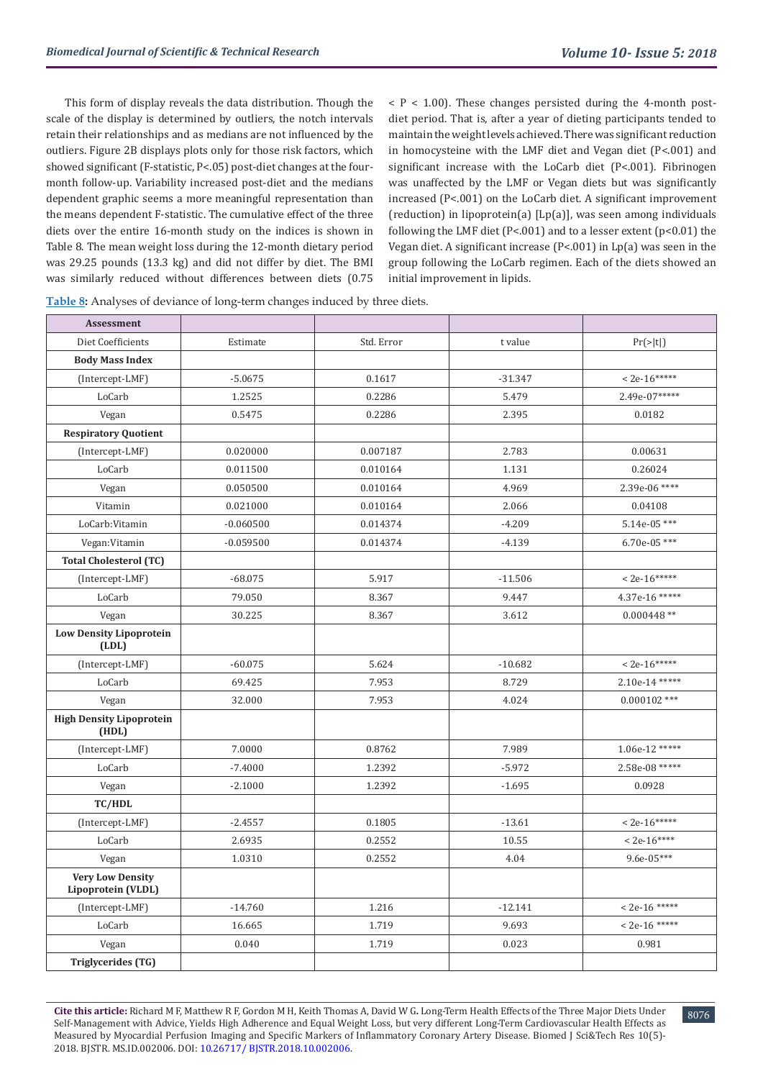This form of display reveals the data distribution. Though the scale of the display is determined by outliers, the notch intervals retain their relationships and as medians are not influenced by the outliers. Figure 2B displays plots only for those risk factors, which showed significant (F-statistic, P<.05) post-diet changes at the fourmonth follow-up. Variability increased post-diet and the medians dependent graphic seems a more meaningful representation than the means dependent F-statistic. The cumulative effect of the three diets over the entire 16-month study on the indices is shown in Table 8. The mean weight loss during the 12-month dietary period was 29.25 pounds (13.3 kg) and did not differ by diet. The BMI was similarly reduced without differences between diets (0.75

 $P < 1.00$ ). These changes persisted during the 4-month postdiet period. That is, after a year of dieting participants tended to maintain the weight levels achieved. There was significant reduction in homocysteine with the LMF diet and Vegan diet (P<.001) and significant increase with the LoCarb diet (P<.001). Fibrinogen was unaffected by the LMF or Vegan diets but was significantly increased (P<.001) on the LoCarb diet. A significant improvement (reduction) in lipoprotein(a) [Lp(a)], was seen among individuals following the LMF diet (P<.001) and to a lesser extent (p<0.01) the Vegan diet. A significant increase (P<.001) in Lp(a) was seen in the group following the LoCarb regimen. Each of the diets showed an initial improvement in lipids.

**Table 8:** Analyses of deviance of long-term changes induced by three diets.

| Assessment                                    |             |            |           |                   |
|-----------------------------------------------|-------------|------------|-----------|-------------------|
| Diet Coefficients                             | Estimate    | Std. Error | t value   | Pr(> t )          |
| <b>Body Mass Index</b>                        |             |            |           |                   |
| (Intercept-LMF)                               | $-5.0675$   | 0.1617     | $-31.347$ | $<$ 2e-16*****    |
| LoCarb                                        | 1.2525      | 0.2286     | 5.479     | 2.49e-07*****     |
| Vegan                                         | 0.5475      | 0.2286     | 2.395     | 0.0182            |
| <b>Respiratory Quotient</b>                   |             |            |           |                   |
| (Intercept-LMF)                               | 0.020000    | 0.007187   | 2.783     | 0.00631           |
| LoCarb                                        | 0.011500    | 0.010164   | 1.131     | 0.26024           |
| Vegan                                         | 0.050500    | 0.010164   | 4.969     | 2.39e-06 ****     |
| Vitamin                                       | 0.021000    | 0.010164   | 2.066     | 0.04108           |
| LoCarb:Vitamin                                | $-0.060500$ | 0.014374   | $-4.209$  | 5.14e-05***       |
| Vegan: Vitamin                                | $-0.059500$ | 0.014374   | $-4.139$  | $6.70e-05$ ***    |
| <b>Total Cholesterol (TC)</b>                 |             |            |           |                   |
| (Intercept-LMF)                               | $-68.075$   | 5.917      | $-11.506$ | $< 2e - 16$ ***** |
| LoCarb                                        | 79.050      | 8.367      | 9.447     | 4.37e-16 *****    |
| Vegan                                         | 30.225      | 8.367      | 3.612     | $0.000448**$      |
| <b>Low Density Lipoprotein</b><br>(LDL)       |             |            |           |                   |
| (Intercept-LMF)                               | $-60.075$   | 5.624      | $-10.682$ | $< 2e-16*****$    |
| LoCarb                                        | 69.425      | 7.953      | 8.729     | 2.10e-14 *****    |
| Vegan                                         | 32.000      | 7.953      | 4.024     | $0.000102$ ***    |
| <b>High Density Lipoprotein</b><br>(HDL)      |             |            |           |                   |
| (Intercept-LMF)                               | 7.0000      | 0.8762     | 7.989     | $1.06e-12$ *****  |
| LoCarb                                        | $-7.4000$   | 1.2392     | $-5.972$  | 2.58e-08 *****    |
| Vegan                                         | $-2.1000$   | 1.2392     | $-1.695$  | 0.0928            |
| TC/HDL                                        |             |            |           |                   |
| (Intercept-LMF)                               | $-2.4557$   | 0.1805     | $-13.61$  | $< 2e-16***$      |
| LoCarb                                        | 2.6935      | 0.2552     | 10.55     | $<$ 2e-16****     |
| Vegan                                         | 1.0310      | 0.2552     | 4.04      | 9.6e-05***        |
| <b>Very Low Density</b><br>Lipoprotein (VLDL) |             |            |           |                   |
| (Intercept-LMF)                               | $-14.760$   | 1.216      | $-12.141$ | $< 2e-16$ *****   |
| LoCarb                                        | 16.665      | 1.719      | 9.693     | $<$ 2e-16 *****   |
| Vegan                                         | 0.040       | 1.719      | 0.023     | 0.981             |
| <b>Triglycerides (TG)</b>                     |             |            |           |                   |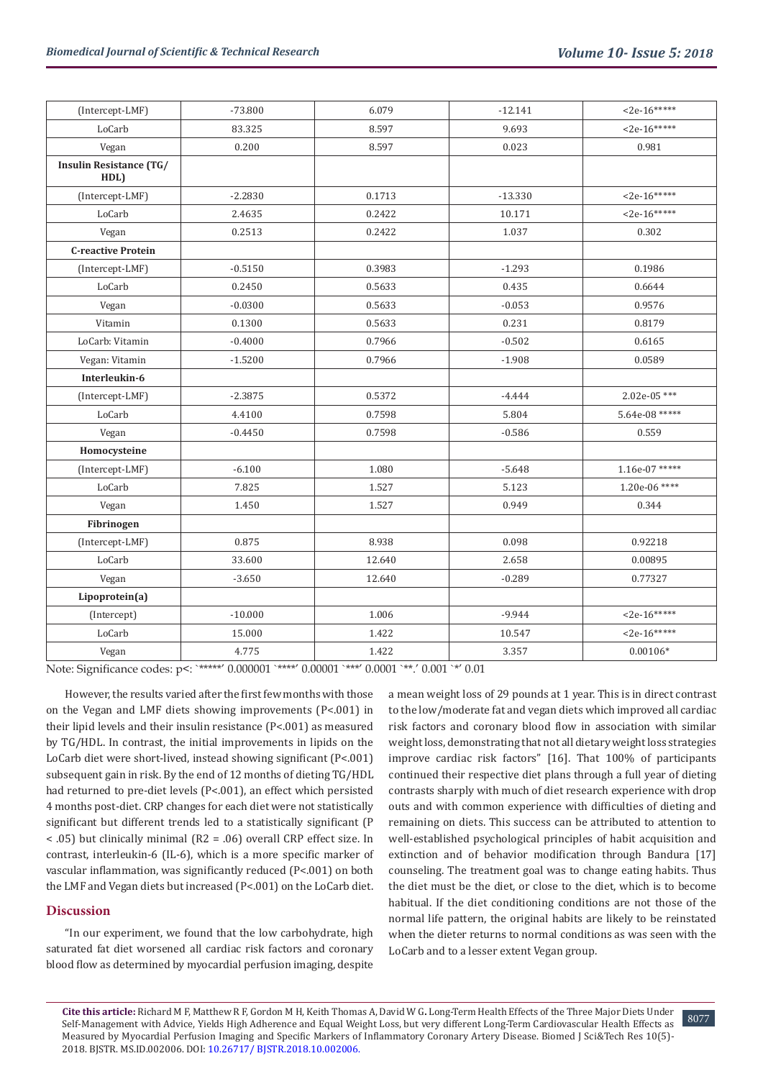| (Intercept-LMF)                        | $-73.800$ | 6.079  | $-12.141$ | $<$ 2e-16*****   |
|----------------------------------------|-----------|--------|-----------|------------------|
| LoCarb                                 | 83.325    | 8.597  | 9.693     | $<$ 2e-16*****   |
| Vegan                                  | 0.200     | 8.597  | 0.023     | 0.981            |
| <b>Insulin Resistance (TG/</b><br>HDL) |           |        |           |                  |
| (Intercept-LMF)                        | $-2.2830$ | 0.1713 | $-13.330$ | $<$ 2e-16*****   |
| LoCarb                                 | 2.4635    | 0.2422 | 10.171    | $<$ 2e-16*****   |
| Vegan                                  | 0.2513    | 0.2422 | 1.037     | 0.302            |
| <b>C-reactive Protein</b>              |           |        |           |                  |
| (Intercept-LMF)                        | $-0.5150$ | 0.3983 | $-1.293$  | 0.1986           |
| LoCarb                                 | 0.2450    | 0.5633 | 0.435     | 0.6644           |
| Vegan                                  | $-0.0300$ | 0.5633 | $-0.053$  | 0.9576           |
| Vitamin                                | 0.1300    | 0.5633 | 0.231     | 0.8179           |
| LoCarb: Vitamin                        | $-0.4000$ | 0.7966 | $-0.502$  | 0.6165           |
| Vegan: Vitamin                         | $-1.5200$ | 0.7966 | $-1.908$  | 0.0589           |
| Interleukin-6                          |           |        |           |                  |
| (Intercept-LMF)                        | $-2.3875$ | 0.5372 | $-4.444$  | 2.02e-05***      |
| LoCarb                                 | 4.4100    | 0.7598 | 5.804     | 5.64e-08 *****   |
| Vegan                                  | $-0.4450$ | 0.7598 | $-0.586$  | 0.559            |
| Homocysteine                           |           |        |           |                  |
| (Intercept-LMF)                        | $-6.100$  | 1.080  | $-5.648$  | $1.16e-07$ ***** |
| LoCarb                                 | 7.825     | 1.527  | 5.123     | 1.20e-06 ****    |
| Vegan                                  | 1.450     | 1.527  | 0.949     | 0.344            |
| Fibrinogen                             |           |        |           |                  |
| (Intercept-LMF)                        | 0.875     | 8.938  | 0.098     | 0.92218          |
| LoCarb                                 | 33.600    | 12.640 | 2.658     | 0.00895          |
| Vegan                                  | $-3.650$  | 12.640 | $-0.289$  | 0.77327          |
| Lipoprotein(a)                         |           |        |           |                  |
| (Intercept)                            | $-10.000$ | 1.006  | $-9.944$  | $<$ 2e-16*****   |
| LoCarb                                 | 15.000    | 1.422  | 10.547    | $<$ 2e-16*****   |
| Vegan                                  | 4.775     | 1.422  | 3.357     | $0.00106*$       |

Note: Significance codes: p<: `\*\*\*\*\*' 0.000001 `\*\*\*\*' 0.00001 `\*\*\*' 0.0001 `\*\*.' 0.001 `\*' 0.01

However, the results varied after the first few months with those on the Vegan and LMF diets showing improvements (P<.001) in their lipid levels and their insulin resistance (P<.001) as measured by TG/HDL. In contrast, the initial improvements in lipids on the LoCarb diet were short-lived, instead showing significant (P<.001) subsequent gain in risk. By the end of 12 months of dieting TG/HDL had returned to pre-diet levels (P<.001), an effect which persisted 4 months post-diet. CRP changes for each diet were not statistically significant but different trends led to a statistically significant (P < .05) but clinically minimal (R2 = .06) overall CRP effect size. In contrast, interleukin-6 (IL-6), which is a more specific marker of vascular inflammation, was significantly reduced (P<.001) on both the LMF and Vegan diets but increased (P<.001) on the LoCarb diet.

# **Discussion**

"In our experiment, we found that the low carbohydrate, high saturated fat diet worsened all cardiac risk factors and coronary blood flow as determined by myocardial perfusion imaging, despite

a mean weight loss of 29 pounds at 1 year. This is in direct contrast to the low/moderate fat and vegan diets which improved all cardiac risk factors and coronary blood flow in association with similar weight loss, demonstrating that not all dietary weight loss strategies improve cardiac risk factors" [16]. That 100% of participants continued their respective diet plans through a full year of dieting contrasts sharply with much of diet research experience with drop outs and with common experience with difficulties of dieting and remaining on diets. This success can be attributed to attention to well-established psychological principles of habit acquisition and extinction and of behavior modification through Bandura [17] counseling. The treatment goal was to change eating habits. Thus the diet must be the diet, or close to the diet, which is to become habitual. If the diet conditioning conditions are not those of the normal life pattern, the original habits are likely to be reinstated when the dieter returns to normal conditions as was seen with the LoCarb and to a lesser extent Vegan group.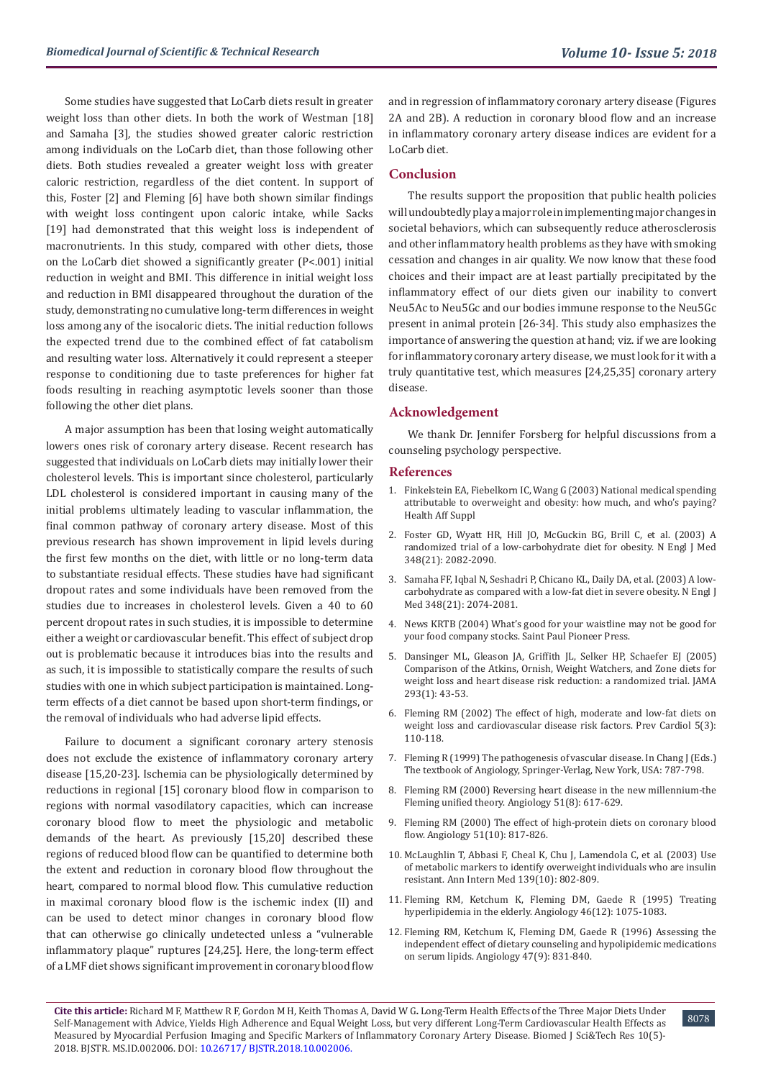Some studies have suggested that LoCarb diets result in greater weight loss than other diets. In both the work of Westman [18] and Samaha [3], the studies showed greater caloric restriction among individuals on the LoCarb diet, than those following other diets. Both studies revealed a greater weight loss with greater caloric restriction, regardless of the diet content. In support of this, Foster [2] and Fleming [6] have both shown similar findings with weight loss contingent upon caloric intake, while Sacks [19] had demonstrated that this weight loss is independent of macronutrients. In this study, compared with other diets, those on the LoCarb diet showed a significantly greater (P<.001) initial reduction in weight and BMI. This difference in initial weight loss and reduction in BMI disappeared throughout the duration of the study, demonstrating no cumulative long-term differences in weight loss among any of the isocaloric diets. The initial reduction follows the expected trend due to the combined effect of fat catabolism and resulting water loss. Alternatively it could represent a steeper response to conditioning due to taste preferences for higher fat foods resulting in reaching asymptotic levels sooner than those following the other diet plans.

A major assumption has been that losing weight automatically lowers ones risk of coronary artery disease. Recent research has suggested that individuals on LoCarb diets may initially lower their cholesterol levels. This is important since cholesterol, particularly LDL cholesterol is considered important in causing many of the initial problems ultimately leading to vascular inflammation, the final common pathway of coronary artery disease. Most of this previous research has shown improvement in lipid levels during the first few months on the diet, with little or no long-term data to substantiate residual effects. These studies have had significant dropout rates and some individuals have been removed from the studies due to increases in cholesterol levels. Given a 40 to 60 percent dropout rates in such studies, it is impossible to determine either a weight or cardiovascular benefit. This effect of subject drop out is problematic because it introduces bias into the results and as such, it is impossible to statistically compare the results of such studies with one in which subject participation is maintained. Longterm effects of a diet cannot be based upon short-term findings, or the removal of individuals who had adverse lipid effects.

Failure to document a significant coronary artery stenosis does not exclude the existence of inflammatory coronary artery disease [15,20-23]. Ischemia can be physiologically determined by reductions in regional [15] coronary blood flow in comparison to regions with normal vasodilatory capacities, which can increase coronary blood flow to meet the physiologic and metabolic demands of the heart. As previously [15,20] described these regions of reduced blood flow can be quantified to determine both the extent and reduction in coronary blood flow throughout the heart, compared to normal blood flow. This cumulative reduction in maximal coronary blood flow is the ischemic index (II) and can be used to detect minor changes in coronary blood flow that can otherwise go clinically undetected unless a "vulnerable inflammatory plaque" ruptures [24,25]. Here, the long-term effect of a LMF diet shows significant improvement in coronary blood flow

and in regression of inflammatory coronary artery disease (Figures 2A and 2B). A reduction in coronary blood flow and an increase in inflammatory coronary artery disease indices are evident for a LoCarb diet.

#### **Conclusion**

The results support the proposition that public health policies will undoubtedly play a major role in implementing major changes in societal behaviors, which can subsequently reduce atherosclerosis and other inflammatory health problems as they have with smoking cessation and changes in air quality. We now know that these food choices and their impact are at least partially precipitated by the inflammatory effect of our diets given our inability to convert Neu5Ac to Neu5Gc and our bodies immune response to the Neu5Gc present in animal protein [26-34]. This study also emphasizes the importance of answering the question at hand; viz. if we are looking for inflammatory coronary artery disease, we must look for it with a truly quantitative test, which measures [24,25,35] coronary artery disease.

## **Acknowledgement**

We thank Dr. Jennifer Forsberg for helpful discussions from a counseling psychology perspective.

#### **References**

- 1. [Finkelstein EA, Fiebelkorn IC, Wang G \(2003\) National medical spending](https://www.ncbi.nlm.nih.gov/pubmed/14527256) [attributable to overweight and obesity: how much, and who's paying?](https://www.ncbi.nlm.nih.gov/pubmed/14527256) [Health Aff Suppl](https://www.ncbi.nlm.nih.gov/pubmed/14527256)
- 2. [Foster GD, Wyatt HR, Hill JO, McGuckin BG, Brill C, et al. \(2003\) A](https://www.ncbi.nlm.nih.gov/pubmed/12761365) [randomized trial of a low-carbohydrate diet for obesity. N Engl J Med](https://www.ncbi.nlm.nih.gov/pubmed/12761365) [348\(21\): 2082-2090.](https://www.ncbi.nlm.nih.gov/pubmed/12761365)
- 3. [Samaha FF, Iqbal N, Seshadri P, Chicano KL, Daily DA, et al. \(2003\) A low](https://www.ncbi.nlm.nih.gov/pubmed/12761364)[carbohydrate as compared with a low-fat diet in severe obesity. N Engl J](https://www.ncbi.nlm.nih.gov/pubmed/12761364) [Med 348\(21\): 2074-2081.](https://www.ncbi.nlm.nih.gov/pubmed/12761364)
- 4. News KRTB (2004) What's good for your waistline may not be good for your food company stocks. Saint Paul Pioneer Press.
- 5. [Dansinger ML, Gleason JA, Griffith JL, Selker HP, Schaefer EJ \(2005\)](https://www.ncbi.nlm.nih.gov/pubmed/15632335) [Comparison of the Atkins, Ornish, Weight Watchers, and Zone diets for](https://www.ncbi.nlm.nih.gov/pubmed/15632335) [weight loss and heart disease risk reduction: a randomized trial. JAMA](https://www.ncbi.nlm.nih.gov/pubmed/15632335) [293\(1\): 43-53.](https://www.ncbi.nlm.nih.gov/pubmed/15632335)
- 6. [Fleming RM \(2002\) The effect of high, moderate and low-fat diets on](https://www.ncbi.nlm.nih.gov/pubmed/12091753) [weight loss and cardiovascular disease risk factors. Prev Cardiol 5\(3\):](https://www.ncbi.nlm.nih.gov/pubmed/12091753) [110-118.](https://www.ncbi.nlm.nih.gov/pubmed/12091753)
- 7. [Fleming R \(1999\) The pathogenesis of vascular disease. In Chang J \(Eds.\)](https://link.springer.com/chapter/10.1007/978-1-4612-1190-7_64) [The textbook of Angiology, Springer-Verlag, New York, USA: 787-798.](https://link.springer.com/chapter/10.1007/978-1-4612-1190-7_64)
- 8. [Fleming RM \(2000\) Reversing heart disease in the new millennium-the](https://www.ncbi.nlm.nih.gov/pubmed/10959514) [Fleming unified theory. Angiology 51\(8\): 617-629.](https://www.ncbi.nlm.nih.gov/pubmed/10959514)
- 9. [Fleming RM \(2000\) The effect of high-protein diets on coronary blood](https://www.ncbi.nlm.nih.gov/pubmed/11108325) [flow. Angiology 51\(10\): 817-826.](https://www.ncbi.nlm.nih.gov/pubmed/11108325)
- 10. [McLaughlin T, Abbasi F, Cheal K, Chu J, Lamendola C, et al. \(2003\) Use](https://www.ncbi.nlm.nih.gov/pubmed/14623617) [of metabolic markers to identify overweight individuals who are insulin](https://www.ncbi.nlm.nih.gov/pubmed/14623617) [resistant. Ann Intern Med 139\(10\): 802-809.](https://www.ncbi.nlm.nih.gov/pubmed/14623617)
- 11. [Fleming RM, Ketchum K, Fleming DM, Gaede R \(1995\) Treating](https://www.ncbi.nlm.nih.gov/pubmed/7495312) [hyperlipidemia in the elderly. Angiology 46\(12\): 1075-1083.](https://www.ncbi.nlm.nih.gov/pubmed/7495312)
- 12. [Fleming RM, Ketchum K, Fleming DM, Gaede R \(1996\) Assessing the](https://www.ncbi.nlm.nih.gov/pubmed/8810649) [independent effect of dietary counseling and hypolipidemic medications](https://www.ncbi.nlm.nih.gov/pubmed/8810649) [on serum lipids. Angiology 47\(9\): 831-840.](https://www.ncbi.nlm.nih.gov/pubmed/8810649)